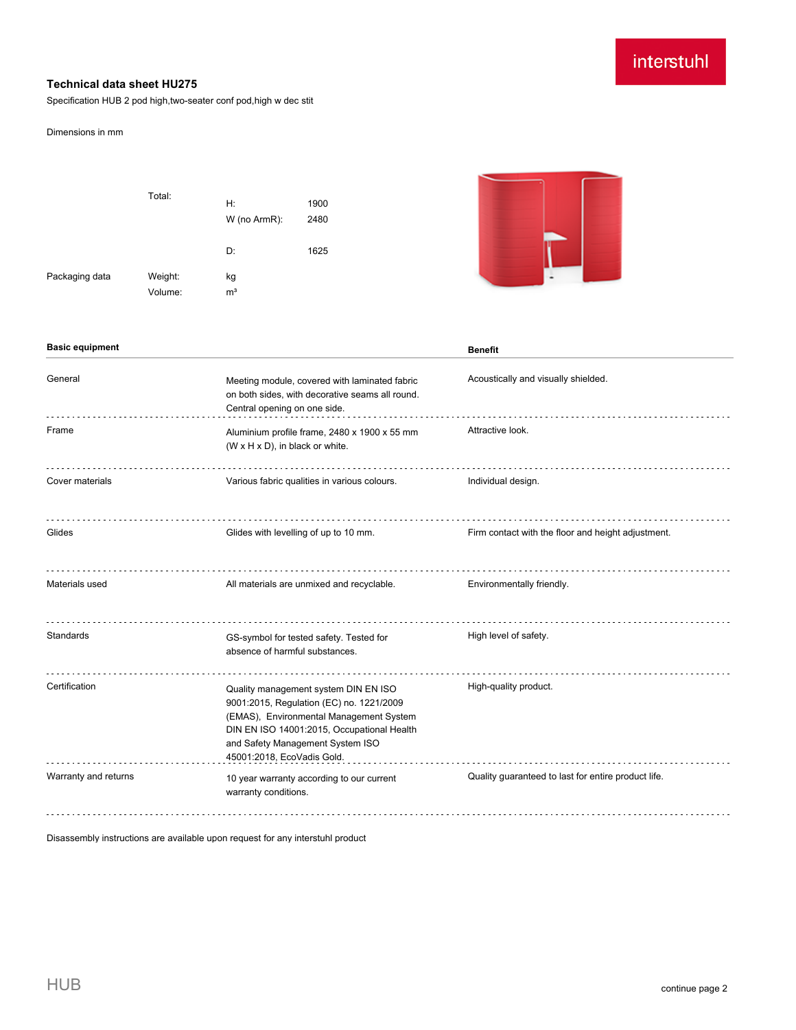# interstuhl

### **Technical data sheet HU275**

Specification HUB 2 pod high,two-seater conf pod,high w dec stit

#### Dimensions in mm

|                | Total:             | H:<br>W (no ArmR):   | 1900<br>2480 |
|----------------|--------------------|----------------------|--------------|
|                |                    | D:                   | 1625         |
| Packaging data | Weight:<br>Volume: | kg<br>m <sup>3</sup> |              |



| <b>Basic equipment</b> |                                                                                                                                                                                                                                             | <b>Benefit</b>                                      |
|------------------------|---------------------------------------------------------------------------------------------------------------------------------------------------------------------------------------------------------------------------------------------|-----------------------------------------------------|
| General                | Meeting module, covered with laminated fabric<br>on both sides, with decorative seams all round.<br>Central opening on one side.                                                                                                            | Acoustically and visually shielded.                 |
| Frame                  | Aluminium profile frame, 2480 x 1900 x 55 mm<br>(W x H x D), in black or white.                                                                                                                                                             | Attractive look.                                    |
| Cover materials        | Various fabric qualities in various colours.                                                                                                                                                                                                | Individual design.                                  |
| Glides                 | Glides with levelling of up to 10 mm.                                                                                                                                                                                                       | Firm contact with the floor and height adjustment.  |
| Materials used         | All materials are unmixed and recyclable.                                                                                                                                                                                                   | Environmentally friendly.                           |
| Standards              | GS-symbol for tested safety. Tested for<br>absence of harmful substances.                                                                                                                                                                   | High level of safety.                               |
| Certification          | Quality management system DIN EN ISO<br>9001:2015, Regulation (EC) no. 1221/2009<br>(EMAS), Environmental Management System<br>DIN EN ISO 14001:2015, Occupational Health<br>and Safety Management System ISO<br>45001:2018, EcoVadis Gold. | High-quality product.                               |
| Warranty and returns   | 10 year warranty according to our current<br>warranty conditions.                                                                                                                                                                           | Quality guaranteed to last for entire product life. |

Disassembly instructions are available upon request for any interstuhl product